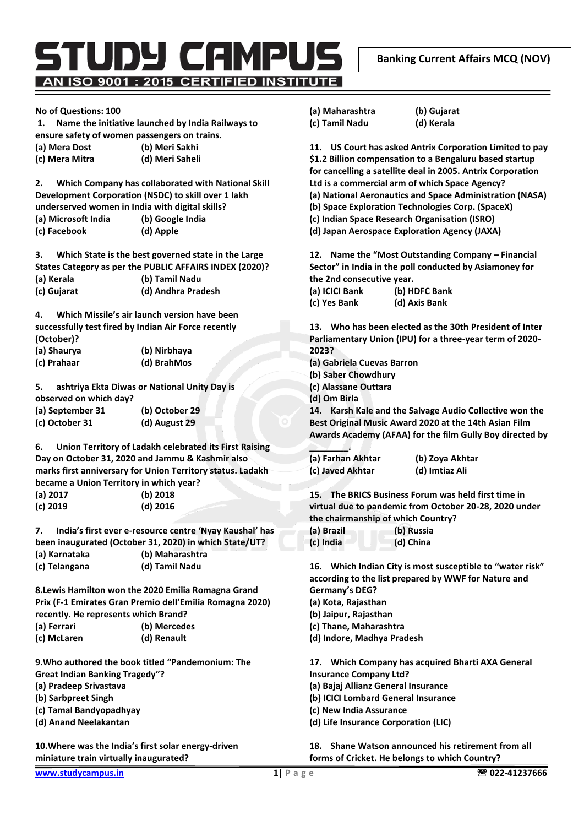AN ISO 9001 : 2015 CERTIFIED INSTITUTE

TUDY CAMPU

## **No of Questions: 100**

## **1. Name the initiative launched by India Railways to ensure safety of women passengers on trains. (a) Mera Dost (b) Meri Sakhi**

**(c) Mera Mitra (d) Meri Saheli** 

**2. Which Company has collaborated with National Skill Development Corporation (NSDC) to skill over 1 lakh underserved women in India with digital skills? (a) Microsoft India (b) Google India** 

**(c) Facebook (d) Apple** 

**3. Which State is the best governed state in the Large States Category as per the PUBLIC AFFAIRS INDEX (2020)?** 

| (a) Kerala  | (b) Tamil Nadu     |
|-------------|--------------------|
| (c) Gujarat | (d) Andhra Pradesh |

**4. Which Missile's air launch version have been successfully test fired by Indian Air Force recently (October)?** 

| (a) Shaurya | (b) Nirbhaya |
|-------------|--------------|
| (c) Prahaar | (d) BrahMos  |

**5. ashtriya Ekta Diwas or National Unity Day is observed on which day? (a) September 31 (b) October 29** 

| (a) September 31 | (b) October 29 |  |
|------------------|----------------|--|
| (c) October 31   | (d) August 29  |  |

**6. Union Territory of Ladakh celebrated its First Raising Day on October 31, 2020 and Jammu & Kashmir also marks first anniversary for Union Territory status. Ladakh became a Union Territory in which year? (a) 2017 (b) 2018 (c) 2019 (d) 2016** 

**7. India's first ever e-resource centre 'Nyay Kaushal' has been inaugurated (October 31, 2020) in which State/UT? (a) Karnataka (b) Maharashtra** 

**(c) Telangana (d) Tamil Nadu** 

**8.Lewis Hamilton won the 2020 Emilia Romagna Grand Prix (F-1 Emirates Gran Premio dell'Emilia Romagna 2020) recently. He represents which Brand? (a) Ferrari (b) Mercedes (c) McLaren (d) Renault** 

**9.Who authored the book titled "Pandemonium: The Great Indian Banking Tragedy"?** 

- **(a) Pradeep Srivastava**
- **(b) Sarbpreet Singh**
- **(c) Tamal Bandyopadhyay**
- **(d) Anand Neelakantan**

**10.Where was the India's first solar energy-driven miniature train virtually inaugurated?** 

**(a) Maharashtra (b) Gujarat (c) Tamil Nadu (d) Kerala** 

**11. US Court has asked Antrix Corporation Limited to pay \$1.2 Billion compensation to a Bengaluru based startup for cancelling a satellite deal in 2005. Antrix Corporation** 

**Ltd is a commercial arm of which Space Agency?** 

- **(a) National Aeronautics and Space Administration (NASA)**
- **(b) Space Exploration Technologies Corp. (SpaceX)**
- **(c) Indian Space Research Organisation (ISRO)**

**(d) Japan Aerospace Exploration Agency (JAXA)** 

**12. Name the "Most Outstanding Company – Financial Sector" in India in the poll conducted by Asiamoney for the 2nd consecutive year.** 

| (a) ICICI Bank | (b) HDFC Bank |
|----------------|---------------|
| (c) Yes Bank   | (d) Axis Bank |

**13. Who has been elected as the 30th President of Inter Parliamentary Union (IPU) for a three-year term of 2020- 2023?** 

- **(a) Gabriela Cuevas Barron**
- **(b) Saber Chowdhury**
- **(c) Alassane Outtara**

**\_\_\_\_\_\_\_\_.** 

**(d) Om Birla** 

**14. Karsh Kale and the Salvage Audio Collective won the Best Original Music Award 2020 at the 14th Asian Film Awards Academy (AFAA) for the film Gully Boy directed by** 

| (a) Farhan Akhtar | (b) Zoya Akhtar |
|-------------------|-----------------|
| (c) Javed Akhtar  | (d) Imtiaz Ali  |

**15. The BRICS Business Forum was held first time in virtual due to pandemic from October 20-28, 2020 under the chairmanship of which Country?** 

| (a) Brazil | (b) Russia |
|------------|------------|
| (c) India  | (d) China  |

**16. Which Indian City is most susceptible to "water risk" according to the list prepared by WWF for Nature and Germany's DEG?** 

**(a) Kota, Rajasthan** 

**(b) Jaipur, Rajasthan** 

**(c) Thane, Maharashtra** 

**(d) Indore, Madhya Pradesh** 

**17. Which Company has acquired Bharti AXA General Insurance Company Ltd? (a) Bajaj Allianz General Insurance (b) ICICI Lombard General Insurance** 

- **(c) New India Assurance**
- **(d) Life Insurance Corporation (LIC)**

**18. Shane Watson announced his retirement from all forms of Cricket. He belongs to which Country?**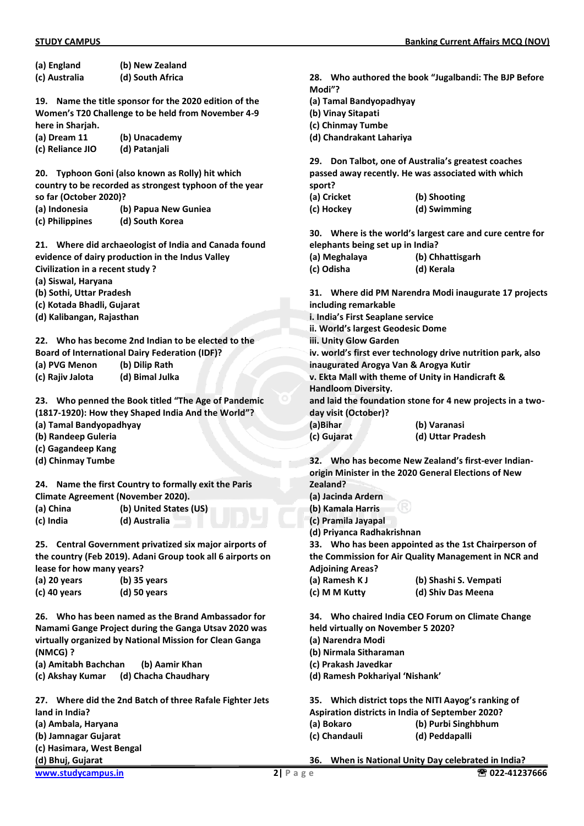| (a) England                             | (b) New Zealand                                            |              |
|-----------------------------------------|------------------------------------------------------------|--------------|
| (c) Australia                           | (d) South Africa                                           | 28. Who      |
|                                         |                                                            | Modi"?       |
| 19.                                     | Name the title sponsor for the 2020 edition of the         | (a) Tamal    |
|                                         | Women's T20 Challenge to be held from November 4-9         | (b) Vinay    |
| here in Sharjah.                        |                                                            | (c) Chinm    |
| (a) Dream 11                            | (b) Unacademy                                              | (d) Chand    |
| (c) Reliance JIO                        | (d) Patanjali                                              |              |
|                                         |                                                            | 29.<br>Don   |
| 20.                                     | Typhoon Goni (also known as Rolly) hit which               | passed av    |
|                                         | country to be recorded as strongest typhoon of the year    | sport?       |
| so far (October 2020)?<br>(a) Indonesia |                                                            | (a) Cricke   |
| (c) Philippines                         | (b) Papua New Guniea<br>(d) South Korea                    | (c) Hocke    |
|                                         |                                                            | 30.<br>Whe   |
|                                         | 21. Where did archaeologist of India and Canada found      | elephants    |
|                                         | evidence of dairy production in the Indus Valley           | (a) Megha    |
| Civilization in a recent study?         |                                                            | (c) Odisha   |
| (a) Siswal, Haryana                     |                                                            |              |
| (b) Sothi, Uttar Pradesh                |                                                            | 31. Whe      |
| (c) Kotada Bhadli, Gujarat              |                                                            | including    |
| (d) Kalibangan, Rajasthan               |                                                            | i. India's I |
|                                         |                                                            | ii. World':  |
|                                         | 22. Who has become 2nd Indian to be elected to the         | iii. Unity ( |
|                                         | <b>Board of International Dairy Federation (IDF)?</b>      | iv. world'   |
| (a) PVG Menon                           | (b) Dilip Rath                                             | inaugurat    |
| (c) Rajiv Jalota                        | (d) Bimal Julka                                            | v. Ekta M    |
|                                         |                                                            | Handloon     |
|                                         | 23. Who penned the Book titled "The Age of Pandemic        | and laid t   |
|                                         | (1817-1920): How they Shaped India And the World"?         | day visit (  |
| (a) Tamal Bandyopadhyay                 |                                                            | (a)Bihar     |
| (b) Randeep Guleria                     |                                                            | (c) Gujara   |
| (c) Gagandeep Kang                      |                                                            |              |
| (d) Chinmay Tumbe                       |                                                            | 32.<br>Who   |
|                                         |                                                            | origin Mir   |
| 24.                                     | Name the first Country to formally exit the Paris          | Zealand?     |
|                                         | <b>Climate Agreement (November 2020).</b>                  | (a) Jacind   |
| (a) China                               | (b) United States (US)                                     | (b) Kamal    |
| (c) India                               | (d) Australia                                              | (c) Pramil   |
|                                         |                                                            | (d) Priyan   |
|                                         | 25. Central Government privatized six major airports of    | Who<br>33.   |
|                                         | the country (Feb 2019). Adani Group took all 6 airports on | the Comn     |
| lease for how many years?               |                                                            | Adjoining    |
| (a) 20 years                            | $(b)$ 35 years                                             | (a) Rames    |
| (c) 40 years                            | $(d)$ 50 years                                             | (c) M M K    |
|                                         | Who has been named as the Brand Ambassador for             | 34.<br>Who   |
| 26.                                     | Namami Gange Project during the Ganga Utsav 2020 was       | held virtu   |
|                                         | virtually organized by National Mission for Clean Ganga    | (a) Naren    |
| (NMCG) ?                                |                                                            | (b) Nirma    |
| (a) Amitabh Bachchan                    | (b) Aamir Khan                                             | (c) Prakas   |
| (c) Akshay Kumar                        | (d) Chacha Chaudhary                                       | (d) Rames    |
|                                         |                                                            |              |
| 27.                                     | Where did the 2nd Batch of three Rafale Fighter Jets       | 35.<br>Whi   |
| land in India?                          |                                                            | Aspiration   |
| (a) Ambala, Haryana                     |                                                            | (a) Bokar    |
| (b) Jamnagar Gujarat                    |                                                            | (c) Chand    |
| (c) Hasimara, West Bengal               |                                                            |              |
| (d) Bhuj, Gujarat                       |                                                            | 36.<br>Whe   |

**28. Who authored the book "Jugalbandi: The BJP Before (a) Tamal Bandyopadhyay (b) Vinay Sitapati** 

**(c) Chinmay Tumbe** 

**(d) Chandrakant Lahariya** 

**29. Don Talbot, one of Australia's greatest coaches passed away recently. He was associated with which** 

**(a) Cricket (b) Shooting** 

**(c) Hockey (d) Swimming** 

**30. Where is the world's largest care and cure centre for elephants being set up in India?** 

**(a) Meghalaya (b) Chhattisgarh (c) Odisha (d) Kerala** 

**31. Where did PM Narendra Modi inaugurate 17 projects including remarkable i. India's First Seaplane service ii. World's largest Geodesic Dome Glow Garden iv. world's first ever technology drive nutrition park, also inaugurated Arogya Van & Arogya Kutir v. Ekta Mall with theme of Unity in Handicraft & m** Diversity. the foundation stone for 4 new projects in a two-

**(October)?** 

**(b) Varanasi (c) Gujarat (d) Uttar Pradesh** 

**32. Who has become New Zealand's first-ever Indianorigin Minister in the 2020 General Elections of New** 

- **(a) Jacinda Ardern**
- **(b) Kamala Harris**
- **(c) Pramila Jayapal**
- **(d) Priyanca Radhakrishnan**

**33. Who has been appointed as the 1st Chairperson of the Commission for Air Quality Management in NCR and Adjoining Areas?** 

**(a) Ramesh K J (b) Shashi S. Vempati**  Kutty (d) Shiv Das Meena

**34. Who chaired India CEO Forum on Climate Change held virtually on November 5 2020?** 

- **(a) Narendra Modi**
- **(b) Nirmala Sitharaman**

**(c) Prakash Javedkar** 

**(d) Ramesh Pokhariyal 'Nishank'**

**35. Which district tops the NITI Aayog's ranking of Aspiration districts in India of September 2020? (a) Bokaro (b) Purbi Singhbhum (c) Chandauli (d) Peddapalli** 

**36. When is National Unity Day celebrated in India?**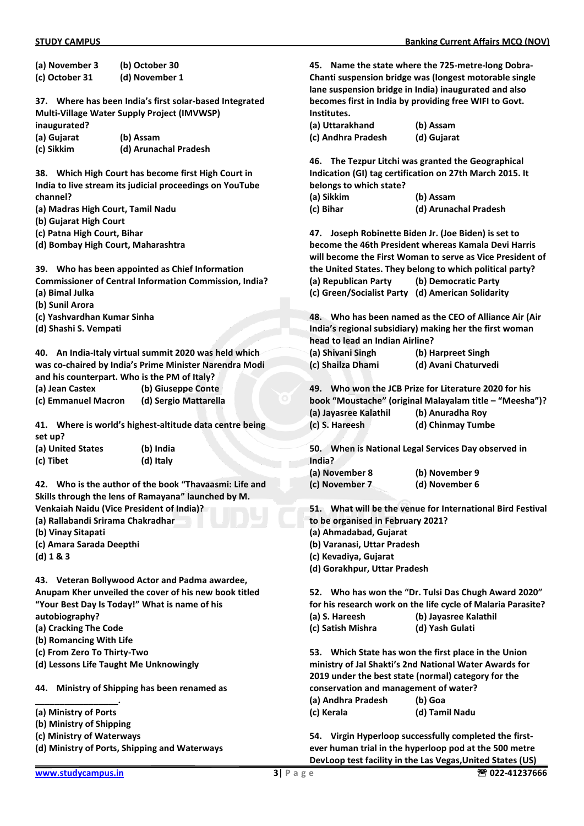| (a) November 3                                          | (b) October 30                                                |                                       | 45. Name the state where the 725-metre-long Dobra-           |
|---------------------------------------------------------|---------------------------------------------------------------|---------------------------------------|--------------------------------------------------------------|
| (c) October 31                                          | (d) November 1                                                |                                       | Chanti suspension bridge was (longest motorable single       |
|                                                         |                                                               |                                       | lane suspension bridge in India) inaugurated and also        |
| 37. Where has been India's first solar-based Integrated |                                                               |                                       | becomes first in India by providing free WIFI to Govt.       |
|                                                         | Multi-Village Water Supply Project (IMVWSP)                   | Institutes.                           |                                                              |
| inaugurated?                                            |                                                               | (a) Uttarakhand                       | (b) Assam                                                    |
| (a) Gujarat                                             | (b) Assam                                                     | (c) Andhra Pradesh                    | (d) Gujarat                                                  |
| (c) Sikkim                                              | (d) Arunachal Pradesh                                         |                                       |                                                              |
|                                                         |                                                               |                                       | 46. The Tezpur Litchi was granted the Geographical           |
|                                                         | 38. Which High Court has become first High Court in           |                                       | Indication (GI) tag certification on 27th March 2015. It     |
|                                                         | India to live stream its judicial proceedings on YouTube      | belongs to which state?               |                                                              |
| channel?<br>(a) Madras High Court, Tamil Nadu           |                                                               | (a) Sikkim<br>(c) Bihar               | (b) Assam<br>(d) Arunachal Pradesh                           |
| (b) Gujarat High Court                                  |                                                               |                                       |                                                              |
| (c) Patna High Court, Bihar                             |                                                               |                                       | 47. Joseph Robinette Biden Jr. (Joe Biden) is set to         |
| (d) Bombay High Court, Maharashtra                      |                                                               |                                       | become the 46th President whereas Kamala Devi Harris         |
|                                                         |                                                               |                                       | will become the First Woman to serve as Vice President of    |
|                                                         | 39. Who has been appointed as Chief Information               |                                       | the United States. They belong to which political party?     |
|                                                         | <b>Commissioner of Central Information Commission, India?</b> | (a) Republican Party                  | (b) Democratic Party                                         |
| (a) Bimal Julka                                         |                                                               |                                       | (c) Green/Socialist Party (d) American Solidarity            |
| (b) Sunil Arora                                         |                                                               |                                       |                                                              |
| (c) Yashvardhan Kumar Sinha                             |                                                               |                                       | 48. Who has been named as the CEO of Alliance Air (Air       |
| (d) Shashi S. Vempati                                   |                                                               |                                       | India's regional subsidiary) making her the first woman      |
|                                                         |                                                               | head to lead an Indian Airline?       |                                                              |
|                                                         | 40. An India-Italy virtual summit 2020 was held which         | (a) Shivani Singh                     | (b) Harpreet Singh                                           |
|                                                         | was co-chaired by India's Prime Minister Narendra Modi        | (c) Shailza Dhami                     | (d) Avani Chaturvedi                                         |
|                                                         | and his counterpart. Who is the PM of Italy?                  |                                       |                                                              |
| (a) Jean Castex                                         | (b) Giuseppe Conte                                            |                                       | 49. Who won the JCB Prize for Literature 2020 for his        |
| (c) Emmanuel Macron                                     | (d) Sergio Mattarella                                         |                                       | book "Moustache" (original Malayalam title - "Meesha")?      |
|                                                         |                                                               | (a) Jayasree Kalathil                 | (b) Anuradha Roy                                             |
|                                                         | 41. Where is world's highest-altitude data centre being       | (c) S. Hareesh                        | (d) Chinmay Tumbe                                            |
| set up?<br>(a) United States                            | (b) India                                                     |                                       | 50. When is National Legal Services Day observed in          |
| (c) Tibet                                               | (d) Italy                                                     | India?                                |                                                              |
|                                                         |                                                               | (a) November 8                        | (b) November 9                                               |
|                                                         | 42. Who is the author of the book "Thavaasmi: Life and        | (c) November 7                        | (d) November 6                                               |
|                                                         | Skills through the lens of Ramayana" launched by M.           |                                       |                                                              |
|                                                         | <b>Venkaiah Naidu (Vice President of India)?</b>              |                                       | 51. What will be the venue for International Bird Festival   |
| (a) Rallabandi Srirama Chakradhar                       |                                                               | to be organised in February 2021?     |                                                              |
| (b) Vinay Sitapati                                      |                                                               | (a) Ahmadabad, Gujarat                |                                                              |
| (c) Amara Sarada Deepthi                                |                                                               | (b) Varanasi, Uttar Pradesh           |                                                              |
| (d) 1 & 83                                              |                                                               | (c) Kevadiya, Gujarat                 |                                                              |
|                                                         |                                                               | (d) Gorakhpur, Uttar Pradesh          |                                                              |
|                                                         | 43. Veteran Bollywood Actor and Padma awardee,                |                                       |                                                              |
|                                                         | Anupam Kher unveiled the cover of his new book titled         |                                       | 52. Who has won the "Dr. Tulsi Das Chugh Award 2020"         |
|                                                         | "Your Best Day Is Today!" What is name of his                 |                                       | for his research work on the life cycle of Malaria Parasite? |
| autobiography?                                          |                                                               | (a) S. Hareesh                        | (b) Jayasree Kalathil                                        |
| (a) Cracking The Code                                   |                                                               | (c) Satish Mishra                     | (d) Yash Gulati                                              |
| (b) Romancing With Life<br>(c) From Zero To Thirty-Two  |                                                               |                                       | 53. Which State has won the first place in the Union         |
| (d) Lessons Life Taught Me Unknowingly                  |                                                               |                                       | ministry of Jal Shakti's 2nd National Water Awards for       |
|                                                         |                                                               |                                       | 2019 under the best state (normal) category for the          |
| 44.                                                     | Ministry of Shipping has been renamed as                      | conservation and management of water? |                                                              |
|                                                         |                                                               | (a) Andhra Pradesh                    | (b) Goa                                                      |
| (a) Ministry of Ports                                   |                                                               | (c) Kerala                            | (d) Tamil Nadu                                               |
| (b) Ministry of Shipping                                |                                                               |                                       |                                                              |
| (c) Ministry of Waterways                               |                                                               |                                       | 54. Virgin Hyperloop successfully completed the first-       |
|                                                         | (d) Ministry of Ports, Shipping and Waterways                 |                                       | ever human trial in the hyperloop pod at the 500 metre       |
|                                                         |                                                               |                                       | DevLoop test facility in the Las Vegas, United States (US)   |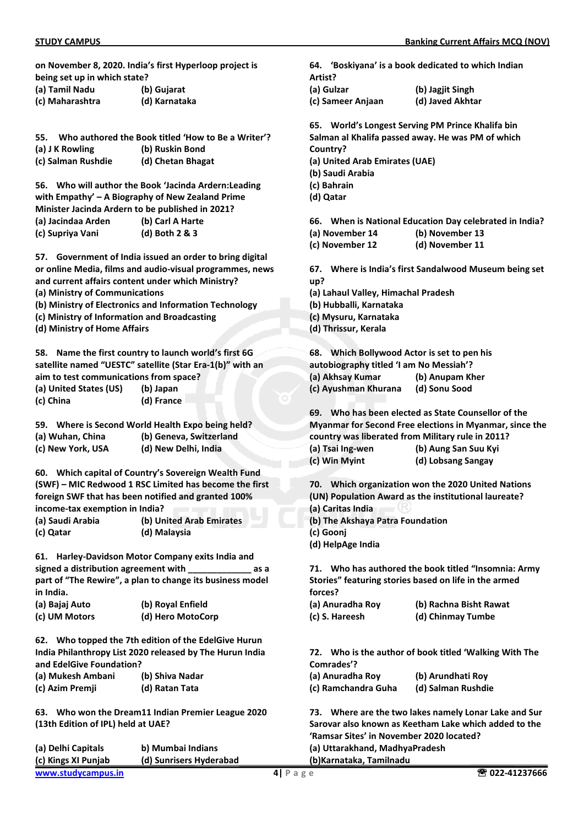**on November 8, 2020. India's first Hyperloop project is being set up in which state?** 

| (a) Tamil Nadu | (b) Gujarat |
|----------------|-------------|
|----------------|-------------|

| (c) Maharashtra | (d) Karnataka |
|-----------------|---------------|
|-----------------|---------------|

- **55. Who authored the Book titled 'How to Be a Writer'?**
- **(a) J K Rowling (b) Ruskin Bond**
- **(c) Salman Rushdie (d) Chetan Bhagat**

**56. Who will author the Book 'Jacinda Ardern:Leading with Empathy' – A Biography of New Zealand Prime Minister Jacinda Ardern to be published in 2021? (a) Jacindaa Arden (b) Carl A Harte (c) Supriya Vani (d) Both 2 & 3** 

**57. Government of India issued an order to bring digital or online Media, films and audio-visual programmes, news and current affairs content under which Ministry?** 

**(a) Ministry of Communications** 

- **(b) Ministry of Electronics and Information Technology**
- **(c) Ministry of Information and Broadcasting**

**(d) Ministry of Home Affairs** 

**58. Name the first country to launch world's first 6G satellite named "UESTC" satellite (Star Era-1(b)" with an aim to test communications from space? (a) United States (US) (b) Japan (c) China (d) France** 

| 59. |                   | Where is Second World Health Expo being held? |
|-----|-------------------|-----------------------------------------------|
|     | (a) Wuhan, China  | (b) Geneva, Switzerland                       |
|     | (c) New York, USA | (d) New Delhi, India                          |

**60. Which capital of Country's Sovereign Wealth Fund (SWF) – MIC Redwood 1 RSC Limited has become the first foreign SWF that has been notified and granted 100% income-tax exemption in India?** 

| (a) Saudi Arabia | (b) United Arab Emirates |
|------------------|--------------------------|
| (c) Qatar        | (d) Malaysia             |

**61. Harley-Davidson Motor Company exits India and signed a distribution agreement with \_\_\_\_\_\_\_\_\_\_\_\_\_ as a part of "The Rewire", a plan to change its business model in India.** 

| (a) Bajaj Auto | (b) Royal Enfield |
|----------------|-------------------|
| (c) UM Motors  | (d) Hero MotoCorp |

**62. Who topped the 7th edition of the EdelGive Hurun India Philanthropy List 2020 released by The Hurun India and EdelGive Foundation?** 

| (a) Mukesh Ambani | (b) Shiva Nadar |
|-------------------|-----------------|
| (c) Azim Premji   | (d) Ratan Tata  |

**63. Who won the Dream11 Indian Premier League 2020 (13th Edition of IPL) held at UAE?** 

| (a) Delhi Capitals  | b) Mumbai Indians       | (a) Uttarakhand, MadhyaPradesh |                |
|---------------------|-------------------------|--------------------------------|----------------|
| (c) Kings XI Punjab | (d) Sunrisers Hyderabad | (b)Karnataka, Tamilnadu        |                |
| www.studycampus.in  |                         | $4$   Page                     | ☎ 022-41237666 |

**64. 'Boskiyana' is a book dedicated to which Indian Artist?** 

**(a) Gulzar (b) Jagjit Singh (c) Sameer Anjaan (d) Javed Akhtar** 

**65. World's Longest Serving PM Prince Khalifa bin Salman al Khalifa passed away. He was PM of which Country? (a) United Arab Emirates (UAE) (b) Saudi Arabia (c) Bahrain (d) Qatar** 

**66. When is National Education Day celebrated in India?** 

- **(a) November 14 (b) November 13**
- **(c) November 12 (d) November 11**

**67. Where is India's first Sandalwood Museum being set up?**

- **(a) Lahaul Valley, Himachal Pradesh**
- **(b) Hubballi, Karnataka**
- **(c) Mysuru, Karnataka**
- **(d) Thrissur, Kerala**

**68. Which Bollywood Actor is set to pen his autobiography titled 'I am No Messiah'? (a) Akhsay Kumar (b) Anupam Kher (c) Ayushman Khurana (d) Sonu Sood** 

**69. Who has been elected as State Counsellor of the Myanmar for Second Free elections in Myanmar, since the country was liberated from Military rule in 2011? (a) Tsai Ing-wen (b) Aung San Suu Kyi** 

| $\cdots$      |                    |
|---------------|--------------------|
| (c) Win Myint | (d) Lobsang Sangay |

**70. Which organization won the 2020 United Nations (UN) Population Award as the institutional laureate?** 

- **(a) Caritas India**
- **(b) The Akshaya Patra Foundation**
- **(c) Goonj**

**(d) HelpAge India** 

**71. Who has authored the book titled "Insomnia: Army Stories" featuring stories based on life in the armed forces?** 

| (a) Anuradha Roy | (b) Rachna Bisht Rawat |
|------------------|------------------------|
| (c) S. Hareesh   | (d) Chinmay Tumbe      |

**72. Who is the author of book titled 'Walking With The Comrades'?** 

| (a) Anuradha Roy    | (b) Arundhati Roy  |
|---------------------|--------------------|
| (c) Ramchandra Guha | (d) Salman Rushdie |

**73. Where are the two lakes namely Lonar Lake and Sur Sarovar also known as Keetham Lake which added to the 'Ramsar Sites' in November 2020 located?**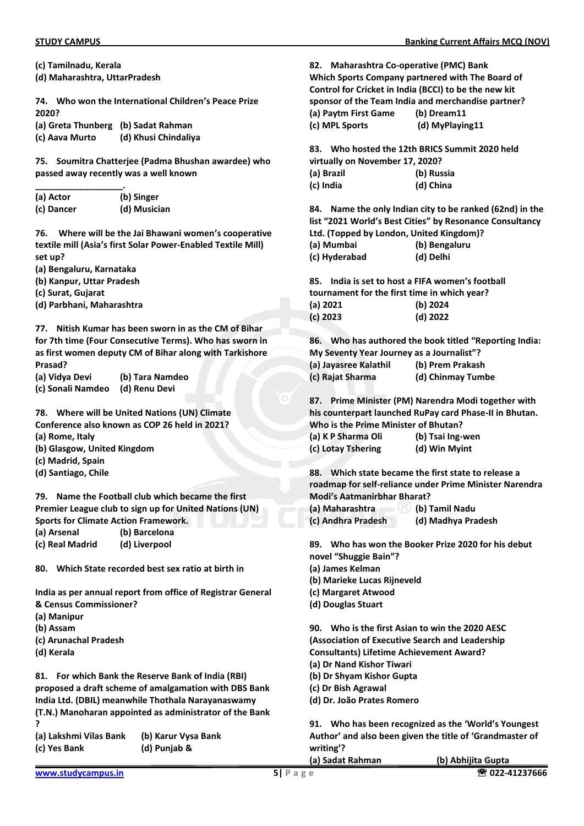**(c) Tamilnadu, Kerala (d) Maharashtra, UttarPradesh** 

**74. Who won the International Children's Peace Prize 2020?** 

**(a) Greta Thunberg (b) Sadat Rahman (c) Aava Murto (d) Khusi Chindaliya** 

**75. Soumitra Chatterjee (Padma Bhushan awardee) who passed away recently was a well known** 

| (a) Actor  | (b) Singer   |
|------------|--------------|
| (c) Dancer | (d) Musician |

**76. Where will be the Jai Bhawani women's cooperative textile mill (Asia's first Solar Power-Enabled Textile Mill) set up?** 

**(a) Bengaluru, Karnataka** 

**(b) Kanpur, Uttar Pradesh** 

**(c) Surat, Gujarat** 

**(d) Parbhani, Maharashtra** 

**77. Nitish Kumar has been sworn in as the CM of Bihar for 7th time (Four Consecutive Terms). Who has sworn in as first women deputy CM of Bihar along with Tarkishore Prasad?** 

**(a) Vidya Devi (b) Tara Namdeo (c) Sonali Namdeo (d) Renu Devi** 

**78. Where will be United Nations (UN) Climate Conference also known as COP 26 held in 2021?** 

**(a) Rome, Italy** 

- **(b) Glasgow, United Kingdom**
- **(c) Madrid, Spain**
- **(d) Santiago, Chile**

**79. Name the Football club which became the first Premier League club to sign up for United Nations (UN) Sports for Climate Action Framework. (a) Arsenal (b) Barcelona** 

**(c) Real Madrid (d) Liverpool** 

**80. Which State recorded best sex ratio at birth in** 

**India as per annual report from office of Registrar General & Census Commissioner?** 

- **(a) Manipur**
- **(b) Assam**
- **(c) Arunachal Pradesh**
- **(d) Kerala**

**81. For which Bank the Reserve Bank of India (RBI) proposed a draft scheme of amalgamation with DBS Bank India Ltd. (DBIL) meanwhile Thothala Narayanaswamy (T.N.) Manoharan appointed as administrator of the Bank ?** 

**(a) Lakshmi Vilas Bank (b) Karur Vysa Bank** 

**(c) Yes Bank (d) Punjab &** 

**82. Maharashtra Co-operative (PMC) Bank Which Sports Company partnered with The Board of Control for Cricket in India (BCCI) to be the new kit sponsor of the Team India and merchandise partner? (a) Paytm First Game (b) Dream11 (c) MPL Sports (d) MyPlaying11** 

**83. Who hosted the 12th BRICS Summit 2020 held virtually on November 17, 2020?** 

**(a) Brazil (b) Russia (c) India (d) China** 

**84. Name the only Indian city to be ranked (62nd) in the list "2021 World's Best Cities" by Resonance Consultancy Ltd. (Topped by London, United Kingdom)? (a) Mumbai (b) Bengaluru** 

**85. India is set to host a FIFA women's football tournament for the first time in which year?** 

| (a) 2021 | (b) 2024   |
|----------|------------|
| (c) 2023 | $(d)$ 2022 |

**(c) Hyderabad (d) Delhi** 

**86. Who has authored the book titled "Reporting India: My Seventy Year Journey as a Journalist"?** 

| (a) Jayasree Kalathil | (b) Prem Prakash  |
|-----------------------|-------------------|
| (c) Rajat Sharma      | (d) Chinmay Tumbe |

**87. Prime Minister (PM) Narendra Modi together with his counterpart launched RuPay card Phase-II in Bhutan. Who is the Prime Minister of Bhutan?** 

**(a) K P Sharma Oli (b) Tsai Ing-wen (c) Lotay Tshering (d) Win Myint** 

**88. Which state became the first state to release a roadmap for self-reliance under Prime Minister Narendra Modi's Aatmanirbhar Bharat?** 

**(a) Maharashtra (b) Tamil Nadu (c) Andhra Pradesh (d) Madhya Pradesh** 

**89. Who has won the Booker Prize 2020 for his debut novel "Shuggie Bain"?** 

- **(a) James Kelman**
- **(b) Marieke Lucas Rijneveld**
- **(c) Margaret Atwood**
- **(d) Douglas Stuart**

**90. Who is the first Asian to win the 2020 AESC (Association of Executive Search and Leadership Consultants) Lifetime Achievement Award? (a) Dr Nand Kishor Tiwari** 

- **(b) Dr Shyam Kishor Gupta**
- **(c) Dr Bish Agrawal**
- **(d) Dr. João Prates Romero**

**91. Who has been recognized as the 'World's Youngest Author' and also been given the title of 'Grandmaster of writing'?** 

| (a) Sadat Rahman | (b) Abhijita Gupta |
|------------------|--------------------|
|                  |                    |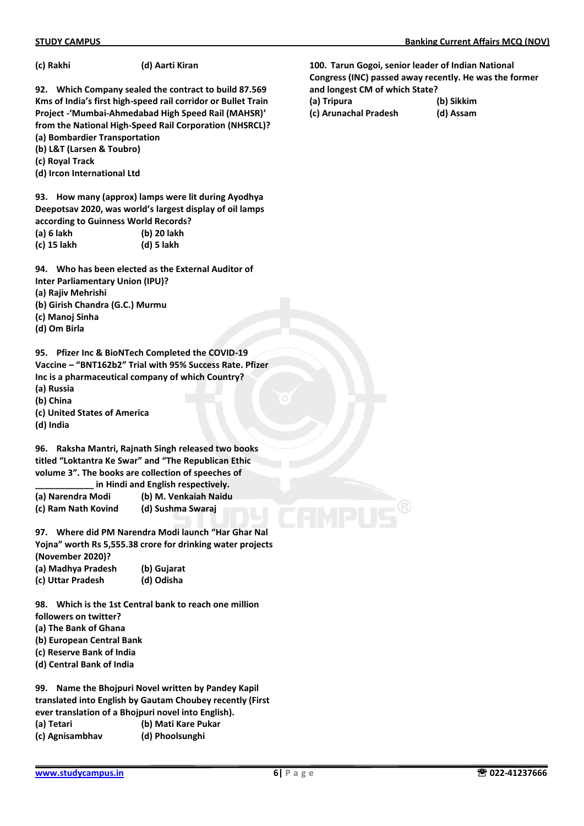| (c) Rakhi | (d) Aarti Kiran |
|-----------|-----------------|
|-----------|-----------------|

**92. Which Company sealed the contract to build 87.569 Kms of India's first high-speed rail corridor or Bullet Train Project -'Mumbai-Ahmedabad High Speed Rail (MAHSR)' from the National High-Speed Rail Corporation (NHSRCL)? (a) Bombardier Transportation** 

**(b) L&T (Larsen & Toubro)** 

**(c) Royal Track** 

**(d) Ircon International Ltd** 

**93. How many (approx) lamps were lit during Ayodhya Deepotsav 2020, was world's largest display of oil lamps according to Guinness World Records? (a) 6 lakh (b) 20 lakh** 

**(c) 15 lakh (d) 5 lakh** 

**94. Who has been elected as the External Auditor of Inter Parliamentary Union (IPU)?** 

**(a) Rajiv Mehrishi** 

- **(b) Girish Chandra (G.C.) Murmu**
- **(c) Manoj Sinha**
- **(d) Om Birla**

**95. Pfizer Inc & BioNTech Completed the COVID-19 Vaccine – "BNT162b2" Trial with 95% Success Rate. Pfizer Inc is a pharmaceutical company of which Country? (a) Russia** 

- **(b) China**
- **(c) United States of America**
- **(d) India**

**96. Raksha Mantri, Rajnath Singh released two books titled "Loktantra Ke Swar" and "The Republican Ethic volume 3". The books are collection of speeches of \_\_\_\_\_\_\_\_\_\_\_\_ in Hindi and English respectively.** 

**(a) Narendra Modi (b) M. Venkaiah Naidu** 

**(c) Ram Nath Kovind (d) Sushma Swaraj** 

**97. Where did PM Narendra Modi launch "Har Ghar Nal Yojna" worth Rs 5,555.38 crore for drinking water projects (November 2020)?** 

| (a) Madhya Pradesh | (b) Gujarat |
|--------------------|-------------|
| (c) Uttar Pradesh  | (d) Odisha  |

**98. Which is the 1st Central bank to reach one million followers on twitter?** 

- **(a) The Bank of Ghana**
- **(b) European Central Bank**
- **(c) Reserve Bank of India**
- **(d) Central Bank of India**

**99. Name the Bhojpuri Novel written by Pandey Kapil translated into English by Gautam Choubey recently (First ever translation of a Bhojpuri novel into English). (a) Tetari (b) Mati Kare Pukar (c) Agnisambhav (d) Phoolsunghi** 

**100. Tarun Gogoi, senior leader of Indian National Congress (INC) passed away recently. He was the former and longest CM of which State?** 

**(a) Tripura (b) Sikkim** 

**(c) Arunachal Pradesh (d) Assam**